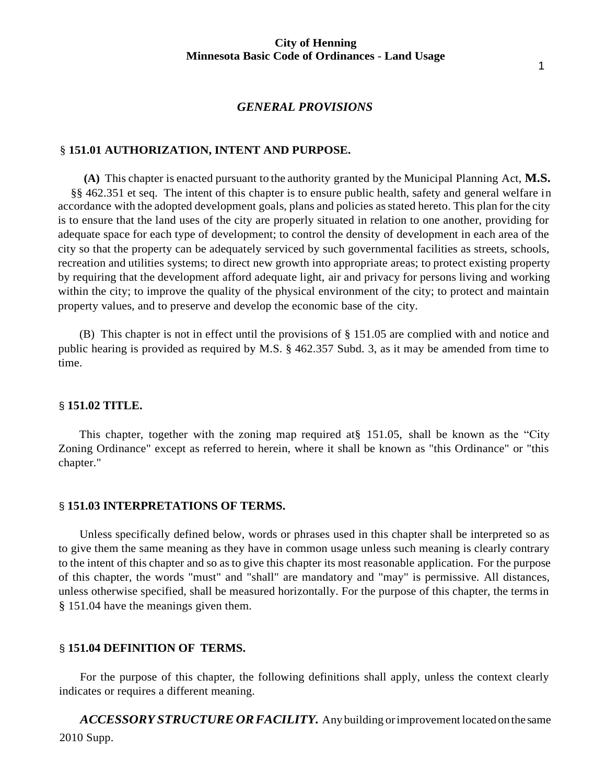#### *GENERAL PROVISIONS*

### § **151.01 AUTHORIZATION, INTENT AND PURPOSE.**

**(A)** This chapter is enacted pursuant to the authority granted by the Municipal Planning Act, **M.S.** §§ 462.351 et seq. The intent of this chapter is to ensure public health, safety and general welfare in accordance with the adopted development goals, plans and policies asstated hereto. This plan for the city is to ensure that the land uses of the city are properly situated in relation to one another, providing for adequate space for each type of development; to control the density of development in each area of the city so that the property can be adequately serviced by such governmental facilities as streets, schools, recreation and utilities systems; to direct new growth into appropriate areas; to protect existing property by requiring that the development afford adequate light, air and privacy for persons living and working within the city; to improve the quality of the physical environment of the city; to protect and maintain property values, and to preserve and develop the economic base of the city.

(B) This chapter is not in effect until the provisions of § 151.05 are complied with and notice and public hearing is provided as required by M.S. § 462.357 Subd. 3, as it may be amended from time to time.

#### § **151.02 TITLE.**

This chapter, together with the zoning map required at§ 151.05, shall be known as the "City Zoning Ordinance" except as referred to herein, where it shall be known as "this Ordinance" or "this chapter."

### § **151.03 INTERPRETATIONS OF TERMS.**

Unless specifically defined below, words or phrases used in this chapter shall be interpreted so as to give them the same meaning as they have in common usage unless such meaning is clearly contrary to the intent of this chapter and so as to give this chapter its most reasonable application. For the purpose of this chapter, the words "must" and "shall" are mandatory and "may" is permissive. All distances, unless otherwise specified, shall be measured horizontally. For the purpose of this chapter, the termsin § 151.04 have the meanings given them.

### § **151.04 DEFINITION OF TERMS.**

For the purpose of this chapter, the following definitions shall apply, unless the context clearly indicates or requires a different meaning.

2010 Supp. *ACCESSORY STRUCTURE ORFACILITY.* Any building orimprovement located onthe same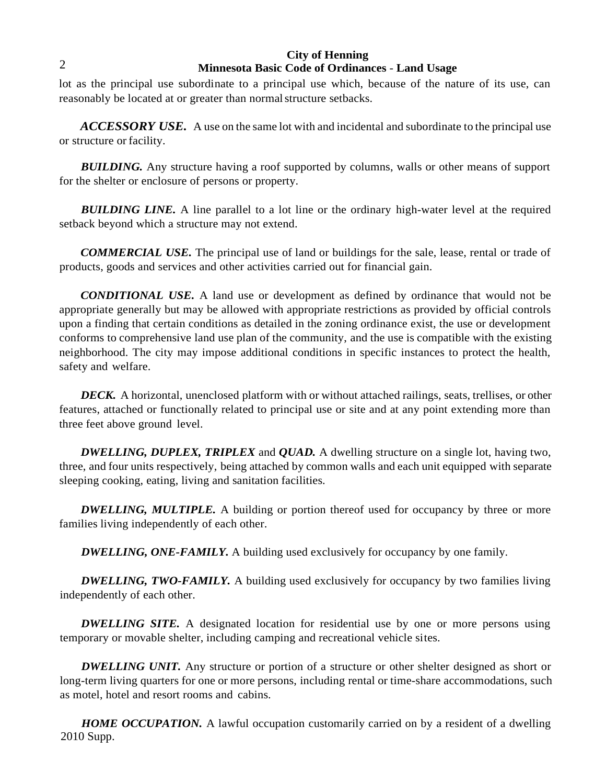### 2

## **City of Henning Minnesota Basic Code of Ordinances** - **Land Usage**

lot as the principal use subordinate to a principal use which, because of the nature of its use, can reasonably be located at or greater than normal structure setbacks.

*ACCESSORY USE.* A use on the same lot with and incidental and subordinate to the principal use or structure or facility.

*BUILDING.* Any structure having a roof supported by columns, walls or other means of support for the shelter or enclosure of persons or property.

**BUILDING LINE.** A line parallel to a lot line or the ordinary high-water level at the required setback beyond which a structure may not extend.

*COMMERCIAL USE.* The principal use of land or buildings for the sale, lease, rental or trade of products, goods and services and other activities carried out for financial gain.

*CONDITIONAL USE.* A land use or development as defined by ordinance that would not be appropriate generally but may be allowed with appropriate restrictions as provided by official controls upon a finding that certain conditions as detailed in the zoning ordinance exist, the use or development conforms to comprehensive land use plan of the community, and the use is compatible with the existing neighborhood. The city may impose additional conditions in specific instances to protect the health, safety and welfare.

*DECK.* A horizontal, unenclosed platform with or without attached railings, seats, trellises, or other features, attached or functionally related to principal use or site and at any point extending more than three feet above ground level.

*DWELLING, DUPLEX, TRIPLEX* and *QUAD.* A dwelling structure on a single lot, having two, three, and four units respectively, being attached by common walls and each unit equipped with separate sleeping cooking, eating, living and sanitation facilities.

*DWELLING, MULTIPLE.* A building or portion thereof used for occupancy by three or more families living independently of each other.

*DWELLING, ONE-FAMILY.* A building used exclusively for occupancy by one family.

**DWELLING, TWO-FAMILY.** A building used exclusively for occupancy by two families living independently of each other.

*DWELLING SITE.* A designated location for residential use by one or more persons using temporary or movable shelter, including camping and recreational vehicle sites.

*DWELLING UNIT.* Any structure or portion of a structure or other shelter designed as short or long-term living quarters for one or more persons, including rental or time-share accommodations, such as motel, hotel and resort rooms and cabins.

2010 Supp. **HOME OCCUPATION.** A lawful occupation customarily carried on by a resident of a dwelling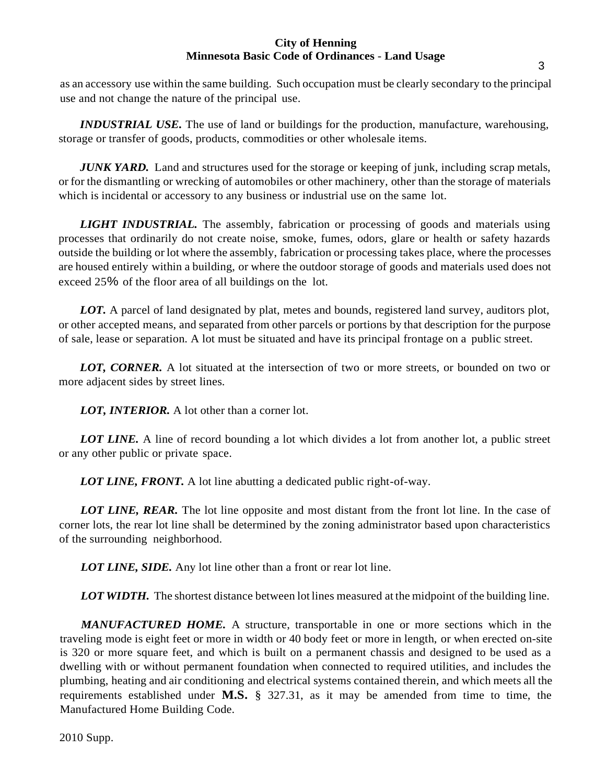as an accessory use within the same building. Such occupation must be clearly secondary to the principal use and not change the nature of the principal use.

*INDUSTRIAL USE*. The use of land or buildings for the production, manufacture, warehousing, storage or transfer of goods, products, commodities or other wholesale items.

*JUNK YARD.* Land and structures used for the storage or keeping of junk, including scrap metals, or for the dismantling or wrecking of automobiles or other machinery, other than the storage of materials which is incidental or accessory to any business or industrial use on the same lot.

*LIGHT INDUSTRIAL.* The assembly, fabrication or processing of goods and materials using processes that ordinarily do not create noise, smoke, fumes, odors, glare or health or safety hazards outside the building or lot where the assembly, fabrication or processing takes place, where the processes are housed entirely within a building, or where the outdoor storage of goods and materials used does not exceed 25% of the floor area of all buildings on the lot.

*LOT.* A parcel of land designated by plat, metes and bounds, registered land survey, auditors plot, or other accepted means, and separated from other parcels or portions by that description for the purpose of sale, lease or separation. A lot must be situated and have its principal frontage on a public street.

*LOT, CORNER.* A lot situated at the intersection of two or more streets, or bounded on two or more adjacent sides by street lines.

*LOT, INTERIOR.* A lot other than a corner lot.

**LOT LINE.** A line of record bounding a lot which divides a lot from another lot, a public street or any other public or private space.

*LOT LINE, FRONT.* A lot line abutting a dedicated public right-of-way.

*LOT LINE, REAR.* The lot line opposite and most distant from the front lot line. In the case of corner lots, the rear lot line shall be determined by the zoning administrator based upon characteristics of the surrounding neighborhood.

*LOT LINE, SIDE.* Any lot line other than a front or rear lot line.

*LOT WIDTH.* The shortest distance between lot lines measured at the midpoint of the building line.

*MANUFACTURED HOME.* A structure, transportable in one or more sections which in the traveling mode is eight feet or more in width or 40 body feet or more in length, or when erected on-site is 320 or more square feet, and which is built on a permanent chassis and designed to be used as a dwelling with or without permanent foundation when connected to required utilities, and includes the plumbing, heating and air conditioning and electrical systems contained therein, and which meets all the requirements established under **M.S.** § 327.31, as it may be amended from time to time, the Manufactured Home Building Code.

2010 Supp.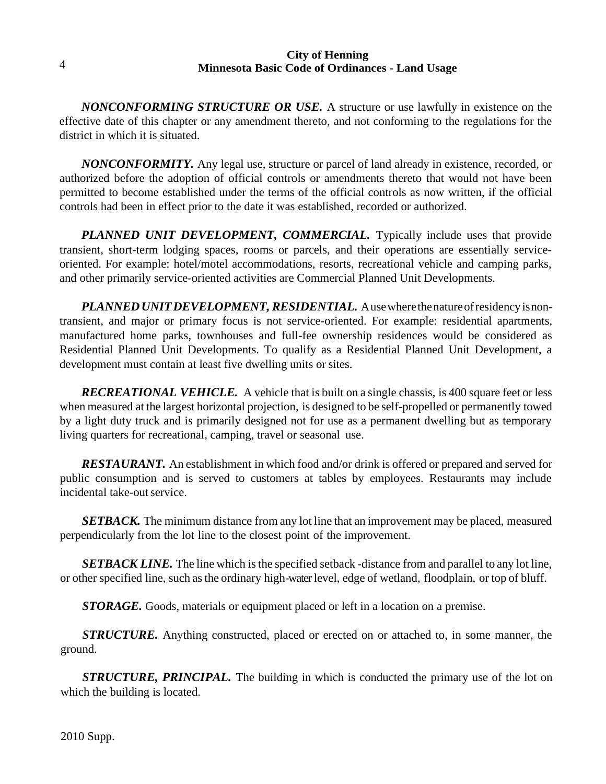*NONCONFORMING STRUCTURE OR USE.* A structure or use lawfully in existence on the effective date of this chapter or any amendment thereto, and not conforming to the regulations for the district in which it is situated.

*NONCONFORMITY.* Any legal use, structure or parcel of land already in existence, recorded, or authorized before the adoption of official controls or amendments thereto that would not have been permitted to become established under the terms of the official controls as now written, if the official controls had been in effect prior to the date it was established, recorded or authorized.

*PLANNED UNIT DEVELOPMENT, COMMERCIAL.* Typically include uses that provide transient, short-term lodging spaces, rooms or parcels, and their operations are essentially serviceoriented. For example: hotel/motel accommodations, resorts, recreational vehicle and camping parks, and other primarily service-oriented activities are Commercial Planned Unit Developments.

*PLANNEDUNITDEVELOPMENT, RESIDENTIAL.* Ausewherethenatureofresidency isnontransient, and major or primary focus is not service-oriented. For example: residential apartments, manufactured home parks, townhouses and full-fee ownership residences would be considered as Residential Planned Unit Developments. To qualify as a Residential Planned Unit Development, a development must contain at least five dwelling units or sites.

*RECREATIONAL VEHICLE.* A vehicle that is built on a single chassis, is 400 square feet or less when measured at the largest horizontal projection, is designed to be self-propelled or permanently towed by a light duty truck and is primarily designed not for use as a permanent dwelling but as temporary living quarters for recreational, camping, travel or seasonal use.

*RESTAURANT.* An establishment in which food and/or drink is offered or prepared and served for public consumption and is served to customers at tables by employees. Restaurants may include incidental take-out service.

*SETBACK.* The minimum distance from any lot line that an improvement may be placed, measured perpendicularly from the lot line to the closest point of the improvement.

*SETBACK LINE.* The line which is the specified setback -distance from and parallel to any lot line, or other specified line, such asthe ordinary high-waterlevel, edge of wetland, floodplain, or top of bluff.

*STORAGE.* Goods, materials or equipment placed or left in a location on a premise.

*STRUCTURE.* Anything constructed, placed or erected on or attached to, in some manner, the ground.

*STRUCTURE, PRINCIPAL.* The building in which is conducted the primary use of the lot on which the building is located.

2010 Supp.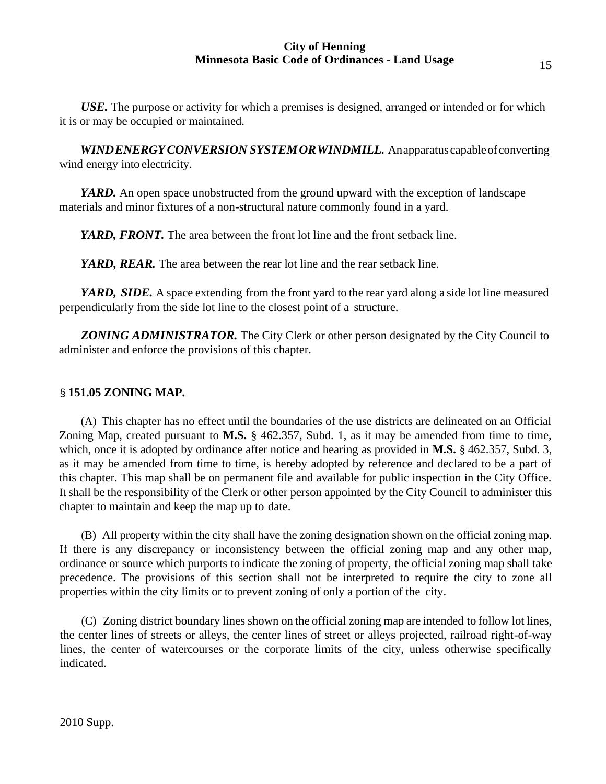*USE.* The purpose or activity for which a premises is designed, arranged or intended or for which it is or may be occupied or maintained.

*WINDENERGYCONVERSION SYSTEMORWINDMILL.* Anapparatus capableofconverting wind energy into electricity.

*YARD.* An open space unobstructed from the ground upward with the exception of landscape materials and minor fixtures of a non-structural nature commonly found in a yard.

*YARD, FRONT.* The area between the front lot line and the front setback line.

*YARD, REAR.* The area between the rear lot line and the rear setback line.

*YARD, SIDE.* A space extending from the front yard to the rear yard along a side lot line measured perpendicularly from the side lot line to the closest point of a structure.

*ZONING ADMINISTRATOR.* The City Clerk or other person designated by the City Council to administer and enforce the provisions of this chapter.

# § **151.05 ZONING MAP.**

(A) This chapter has no effect until the boundaries of the use districts are delineated on an Official Zoning Map, created pursuant to **M.S.** § 462.357, Subd. 1, as it may be amended from time to time, which, once it is adopted by ordinance after notice and hearing as provided in **M.S.** § 462.357, Subd. 3, as it may be amended from time to time, is hereby adopted by reference and declared to be a part of this chapter. This map shall be on permanent file and available for public inspection in the City Office. It shall be the responsibility of the Clerk or other person appointed by the City Council to administer this chapter to maintain and keep the map up to date.

(B) All property within the city shall have the zoning designation shown on the official zoning map. If there is any discrepancy or inconsistency between the official zoning map and any other map, ordinance or source which purports to indicate the zoning of property, the official zoning map shall take precedence. The provisions of this section shall not be interpreted to require the city to zone all properties within the city limits or to prevent zoning of only a portion of the city.

(C) Zoning district boundary lines shown on the official zoning map are intended to follow lot lines, the center lines of streets or alleys, the center lines of street or alleys projected, railroad right-of-way lines, the center of watercourses or the corporate limits of the city, unless otherwise specifically indicated.